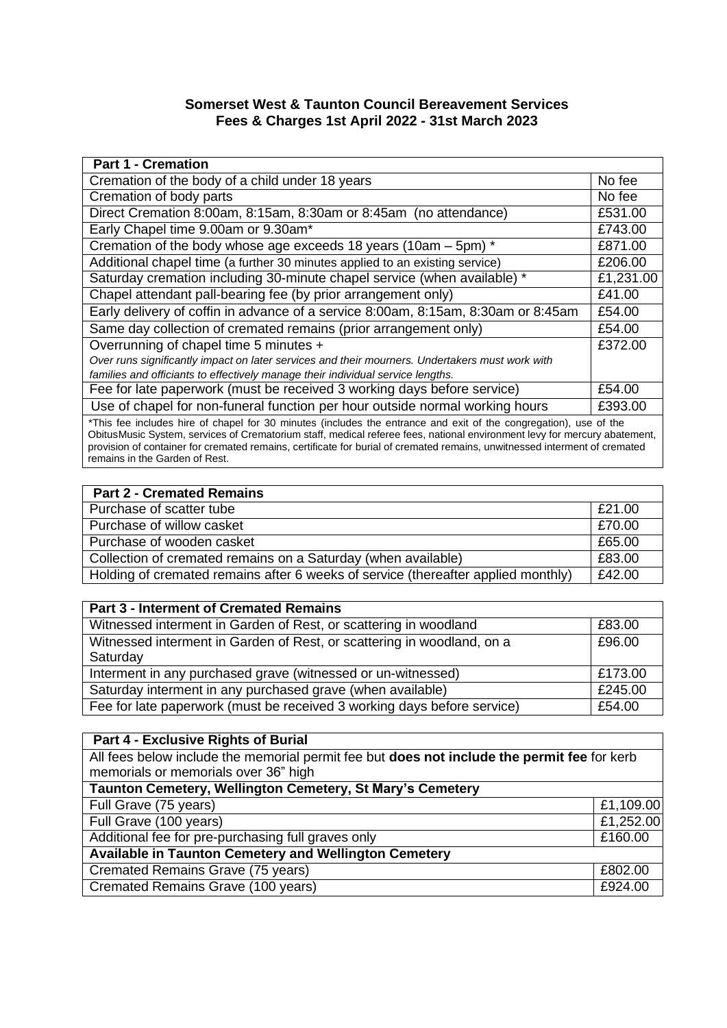## **Somerset West & Taunton Council Bereavement Services Fees & Charges 1st April 2022 - 31st March 2023**

| <b>Part 1 - Cremation</b>                                                                                                        |                      |
|----------------------------------------------------------------------------------------------------------------------------------|----------------------|
| Cremation of the body of a child under 18 years                                                                                  | No fee               |
| Cremation of body parts                                                                                                          | No fee               |
| Direct Cremation 8:00am, 8:15am, 8:30am or 8:45am (no attendance)                                                                | £531.00              |
| Early Chapel time 9.00am or 9.30am*                                                                                              | £743.00              |
| Cremation of the body whose age exceeds 18 years (10am – 5pm) *                                                                  | £871.00              |
| Additional chapel time (a further 30 minutes applied to an existing service)                                                     | £206.00              |
| Saturday cremation including 30-minute chapel service (when available) *                                                         | £1,231.00            |
| Chapel attendant pall-bearing fee (by prior arrangement only)                                                                    | £41.00               |
| Early delivery of coffin in advance of a service 8:00am, 8:15am, 8:30am or 8:45am                                                | £54.00               |
| Same day collection of cremated remains (prior arrangement only)                                                                 | £54.00               |
| Overrunning of chapel time 5 minutes +                                                                                           | £372.00              |
| Over runs significantly impact on later services and their mourners. Undertakers must work with                                  |                      |
| families and officiants to effectively manage their individual service lengths.                                                  |                      |
| Fee for late paperwork (must be received 3 working days before service)                                                          | £54.00               |
| Use of chapel for non-funeral function per hour outside normal working hours                                                     | £393.00              |
| $\bullet$ the first state is a finite state of $\bullet$ . And the first first decomposition of the fideline second of $\Lambda$ | $\sim$ $\sim$ $\sim$ |

\*This fee includes hire of chapel for 30 minutes (includes the entrance and exit of the congregation), use of the ObitusMusic System, services of Crematorium staff, medical referee fees, national environment levy for mercury abatement, provision of container for cremated remains, certificate for burial of cremated remains, unwitnessed interment of cremated remains in the Garden of Rest.

| <b>Part 2 - Cremated Remains</b>                                                  |        |
|-----------------------------------------------------------------------------------|--------|
| Purchase of scatter tube                                                          | £21.00 |
| Purchase of willow casket                                                         | E70.00 |
| Purchase of wooden casket                                                         | £65.00 |
| Collection of cremated remains on a Saturday (when available)                     | £83.00 |
| Holding of cremated remains after 6 weeks of service (thereafter applied monthly) | £42.00 |

| <b>Part 3 - Interment of Cremated Remains</b>                                      |         |
|------------------------------------------------------------------------------------|---------|
| Witnessed interment in Garden of Rest, or scattering in woodland                   | £83.00  |
| Witnessed interment in Garden of Rest, or scattering in woodland, on a<br>Saturday | £96.00  |
| Interment in any purchased grave (witnessed or un-witnessed)                       | £173.00 |
| Saturday interment in any purchased grave (when available)                         | £245.00 |
| Fee for late paperwork (must be received 3 working days before service)            | £54.00  |

| <b>Part 4 - Exclusive Rights of Burial</b>                                                                                          |           |
|-------------------------------------------------------------------------------------------------------------------------------------|-----------|
| All fees below include the memorial permit fee but does not include the permit fee for kerb<br>memorials or memorials over 36" high |           |
| Taunton Cemetery, Wellington Cemetery, St Mary's Cemetery                                                                           |           |
| Full Grave (75 years)                                                                                                               | £1,109.00 |
| Full Grave (100 years)                                                                                                              | £1,252.00 |
| Additional fee for pre-purchasing full graves only                                                                                  | £160.00   |
| Available in Taunton Cemetery and Wellington Cemetery                                                                               |           |
| Cremated Remains Grave (75 years)                                                                                                   | £802.00   |
| Cremated Remains Grave (100 years)                                                                                                  | £924.00   |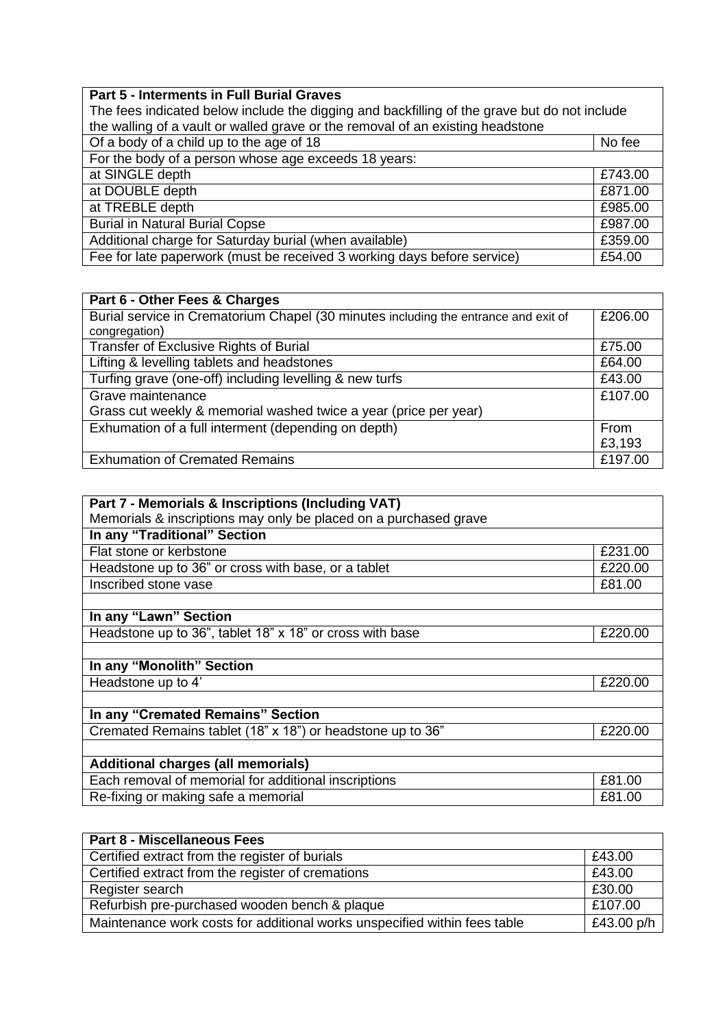| The fees indicated below include the digging and backfilling of the grave but do not include |         |
|----------------------------------------------------------------------------------------------|---------|
| the walling of a vault or walled grave or the removal of an existing headstone               |         |
| Of a body of a child up to the age of 18                                                     | No fee  |
| For the body of a person whose age exceeds 18 years:                                         |         |
| at SINGLE depth                                                                              | £743.00 |
| at DOUBLE depth                                                                              | £871.00 |
| at TREBLE depth                                                                              | £985.00 |
| <b>Burial in Natural Burial Copse</b>                                                        | £987.00 |
| Additional charge for Saturday burial (when available)                                       | £359.00 |
| Fee for late paperwork (must be received 3 working days before service)                      | £54.00  |

| Part 6 - Other Fees & Charges                                                       |         |
|-------------------------------------------------------------------------------------|---------|
| Burial service in Crematorium Chapel (30 minutes including the entrance and exit of | £206.00 |
| congregation)                                                                       |         |
| <b>Transfer of Exclusive Rights of Burial</b>                                       | £75.00  |
| Lifting & levelling tablets and headstones                                          | £64.00  |
| Turfing grave (one-off) including levelling & new turfs                             | £43.00  |
| Grave maintenance                                                                   | £107.00 |
| Grass cut weekly & memorial washed twice a year (price per year)                    |         |
| Exhumation of a full interment (depending on depth)                                 | From    |
|                                                                                     | £3,193  |
| <b>Exhumation of Cremated Remains</b>                                               | £197.00 |

| Part 7 - Memorials & Inscriptions (Including VAT)                |         |
|------------------------------------------------------------------|---------|
| Memorials & inscriptions may only be placed on a purchased grave |         |
| In any "Traditional" Section                                     |         |
| Flat stone or kerbstone                                          | £231.00 |
| Headstone up to 36" or cross with base, or a tablet              | £220.00 |
| Inscribed stone vase                                             | £81.00  |
|                                                                  |         |
| In any "Lawn" Section                                            |         |
| Headstone up to 36", tablet 18" x 18" or cross with base         | £220.00 |
|                                                                  |         |
| In any "Monolith" Section                                        |         |
| Headstone up to 4'                                               | £220.00 |
|                                                                  |         |
| In any "Cremated Remains" Section                                |         |
| Cremated Remains tablet (18" x 18") or headstone up to 36"       | £220.00 |
|                                                                  |         |
| <b>Additional charges (all memorials)</b>                        |         |
| Each removal of memorial for additional inscriptions             | £81.00  |
| Re-fixing or making safe a memorial                              | £81.00  |

| <b>Part 8 - Miscellaneous Fees</b>                                        |            |
|---------------------------------------------------------------------------|------------|
| Certified extract from the register of burials                            | £43.00     |
| Certified extract from the register of cremations                         | £43.00     |
| Register search                                                           | £30.00     |
| Refurbish pre-purchased wooden bench & plaque                             | £107.00    |
| Maintenance work costs for additional works unspecified within fees table | £43.00 p/h |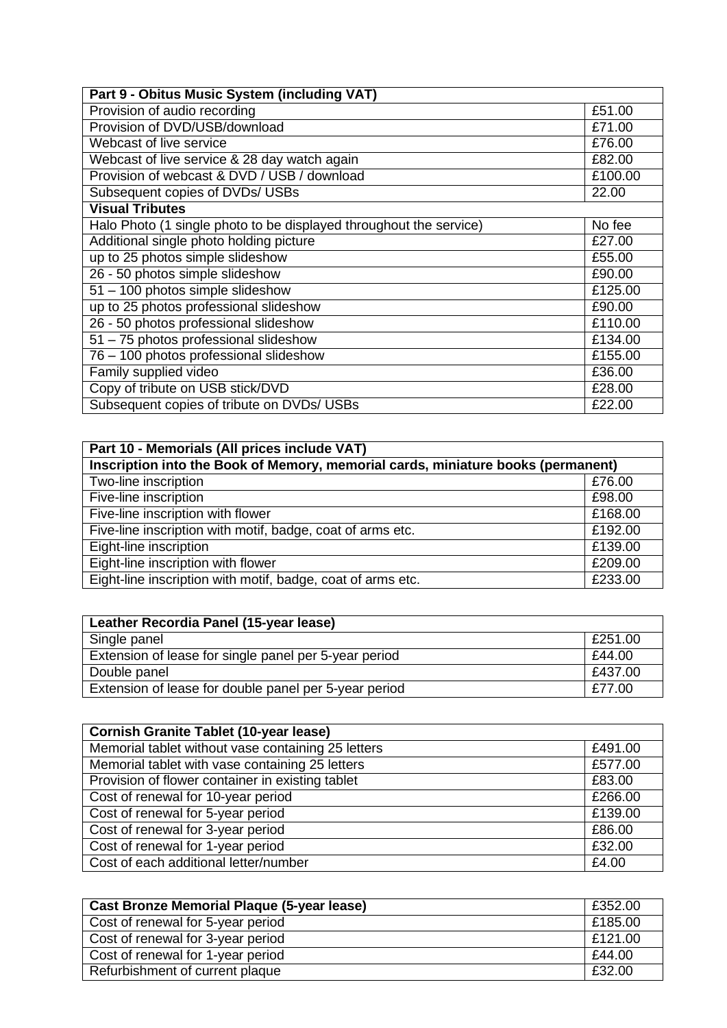| Part 9 - Obitus Music System (including VAT)                       |         |
|--------------------------------------------------------------------|---------|
| Provision of audio recording                                       | £51.00  |
| Provision of DVD/USB/download                                      | £71.00  |
| Webcast of live service                                            | £76.00  |
| Webcast of live service & 28 day watch again                       | £82.00  |
| Provision of webcast & DVD / USB / download                        | £100.00 |
| Subsequent copies of DVDs/ USBs                                    | 22.00   |
| <b>Visual Tributes</b>                                             |         |
| Halo Photo (1 single photo to be displayed throughout the service) | No fee  |
| Additional single photo holding picture                            | £27.00  |
| up to 25 photos simple slideshow                                   | £55.00  |
| 26 - 50 photos simple slideshow                                    | £90.00  |
| 51 - 100 photos simple slideshow                                   | £125.00 |
| up to 25 photos professional slideshow                             | £90.00  |
| 26 - 50 photos professional slideshow                              | £110.00 |
| 51 - 75 photos professional slideshow                              | £134.00 |
| 76 - 100 photos professional slideshow                             | £155.00 |
| Family supplied video                                              | £36.00  |
| Copy of tribute on USB stick/DVD                                   | £28.00  |
| Subsequent copies of tribute on DVDs/ USBs                         | £22.00  |

| Part 10 - Memorials (All prices include VAT)                                     |         |
|----------------------------------------------------------------------------------|---------|
| Inscription into the Book of Memory, memorial cards, miniature books (permanent) |         |
| Two-line inscription                                                             | £76.00  |
| Five-line inscription                                                            | £98.00  |
| Five-line inscription with flower                                                | £168.00 |
| Five-line inscription with motif, badge, coat of arms etc.                       | £192.00 |
| Eight-line inscription                                                           | £139.00 |
| Eight-line inscription with flower                                               | £209.00 |
| Eight-line inscription with motif, badge, coat of arms etc.                      | £233.00 |

| Leather Recordia Panel (15-year lease)                |         |
|-------------------------------------------------------|---------|
| Single panel                                          | £251.00 |
| Extension of lease for single panel per 5-year period | £44.00  |
| Double panel                                          | £437.00 |
| Extension of lease for double panel per 5-year period | £77.00  |

| <b>Cornish Granite Tablet (10-year lease)</b>      |         |
|----------------------------------------------------|---------|
| Memorial tablet without vase containing 25 letters | £491.00 |
| Memorial tablet with vase containing 25 letters    | £577.00 |
| Provision of flower container in existing tablet   | £83.00  |
| Cost of renewal for 10-year period                 | £266.00 |
| Cost of renewal for 5-year period                  | £139.00 |
| Cost of renewal for 3-year period                  | £86.00  |
| Cost of renewal for 1-year period                  | £32.00  |
| Cost of each additional letter/number              | £4.00   |

| <b>Cast Bronze Memorial Plaque (5-year lease)</b> | £352.00 |
|---------------------------------------------------|---------|
| Cost of renewal for 5-year period                 | £185.00 |
| Cost of renewal for 3-year period                 | £121.00 |
| Cost of renewal for 1-year period                 | £44.00  |
| Refurbishment of current plaque                   | £32.00  |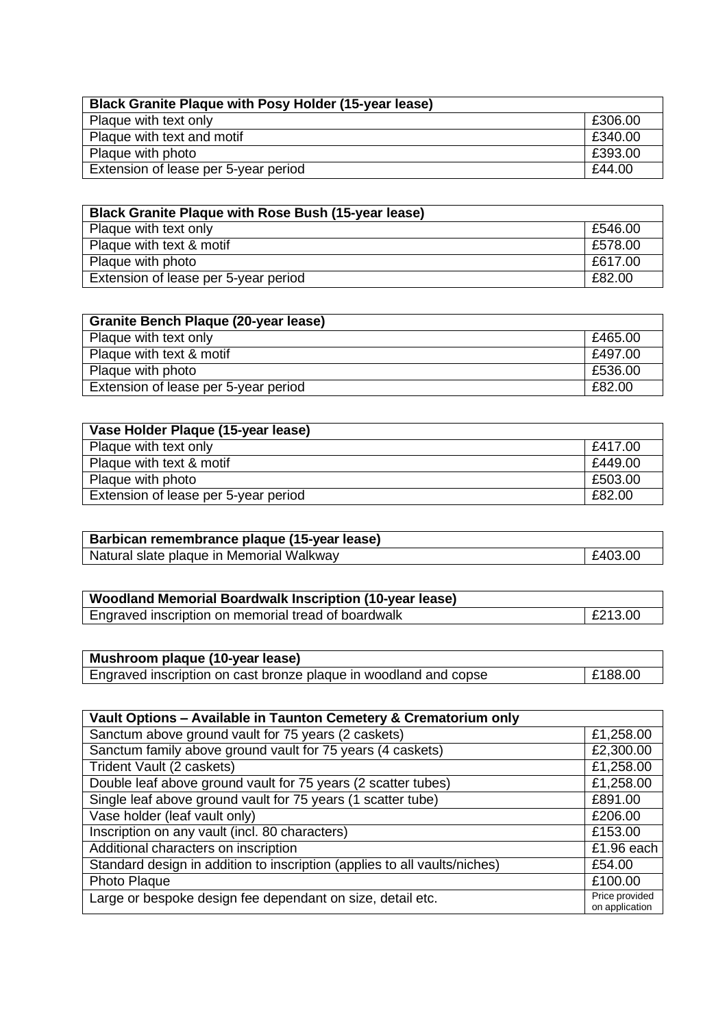| <b>Black Granite Plaque with Posy Holder (15-year lease)</b> |         |
|--------------------------------------------------------------|---------|
| Plaque with text only                                        | £306.00 |
| Plaque with text and motif                                   | £340.00 |
| Plaque with photo                                            | £393.00 |
| Extension of lease per 5-year period                         | £44.00  |

| <b>Black Granite Plaque with Rose Bush (15-year lease)</b> |         |
|------------------------------------------------------------|---------|
| Plaque with text only                                      | £546.00 |
| Plaque with text & motif                                   | £578.00 |
| Plaque with photo                                          | £617.00 |
| Extension of lease per 5-year period                       | £82.00  |

| <b>Granite Bench Plaque (20-year lease)</b> |         |
|---------------------------------------------|---------|
| Plaque with text only                       | £465.00 |
| Plaque with text & motif                    | £497.00 |
| Plaque with photo                           | £536.00 |
| Extension of lease per 5-year period        | £82.00  |

| Vase Holder Plaque (15-year lease)   |         |
|--------------------------------------|---------|
| Plaque with text only                | £417.00 |
| Plaque with text & motif             | £449.00 |
| Plaque with photo                    | £503.00 |
| Extension of lease per 5-year period | £82.00  |

| Barbican remembrance plaque (15-year lease) |         |
|---------------------------------------------|---------|
| Natural slate plaque in Memorial Walkway    | £403.00 |

| <b>Woodland Memorial Boardwalk Inscription (10-year lease)</b> |         |
|----------------------------------------------------------------|---------|
| Engraved inscription on memorial tread of boardwalk            | £213.00 |

| Mushroom plaque (10-year lease)                                  |         |
|------------------------------------------------------------------|---------|
| Engraved inscription on cast bronze plaque in woodland and copse | E188.00 |

| Vault Options - Available in Taunton Cemetery & Crematorium only          |                                  |
|---------------------------------------------------------------------------|----------------------------------|
| Sanctum above ground vault for 75 years (2 caskets)                       | £1,258.00                        |
| Sanctum family above ground vault for 75 years (4 caskets)                | £2,300.00                        |
| Trident Vault (2 caskets)                                                 | £1,258.00                        |
| Double leaf above ground vault for 75 years (2 scatter tubes)             | £1,258.00                        |
| Single leaf above ground vault for 75 years (1 scatter tube)              | £891.00                          |
| Vase holder (leaf vault only)                                             | £206.00                          |
| Inscription on any vault (incl. 80 characters)                            | £153.00                          |
| Additional characters on inscription                                      | £1.96 each                       |
| Standard design in addition to inscription (applies to all vaults/niches) | £54.00                           |
| Photo Plaque                                                              | £100.00                          |
| Large or bespoke design fee dependant on size, detail etc.                | Price provided<br>on application |